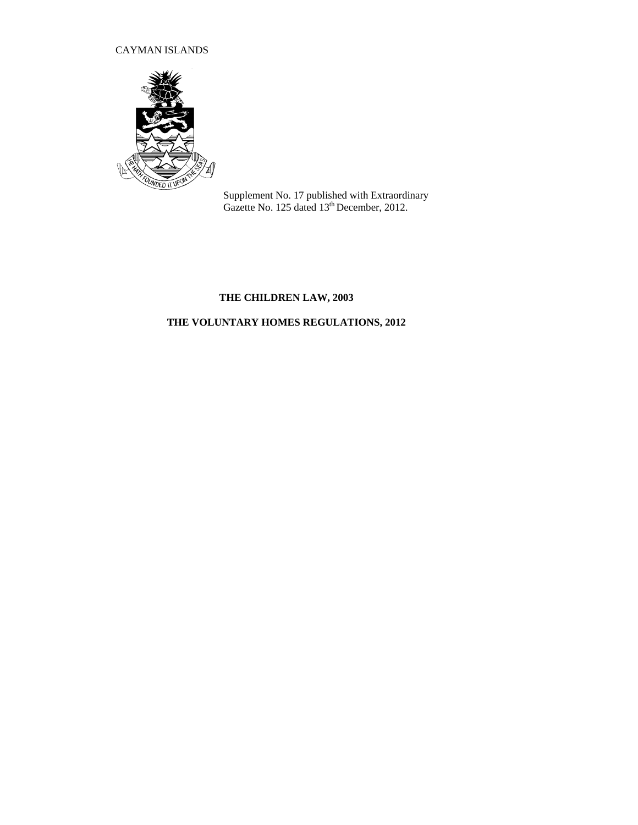# CAYMAN ISLANDS



Supplement No. 17 published with Extraordinary Gazette No. 125 dated 13<sup>th</sup> December, 2012.

# **THE CHILDREN LAW, 2003**

# **THE VOLUNTARY HOMES REGULATIONS, 2012**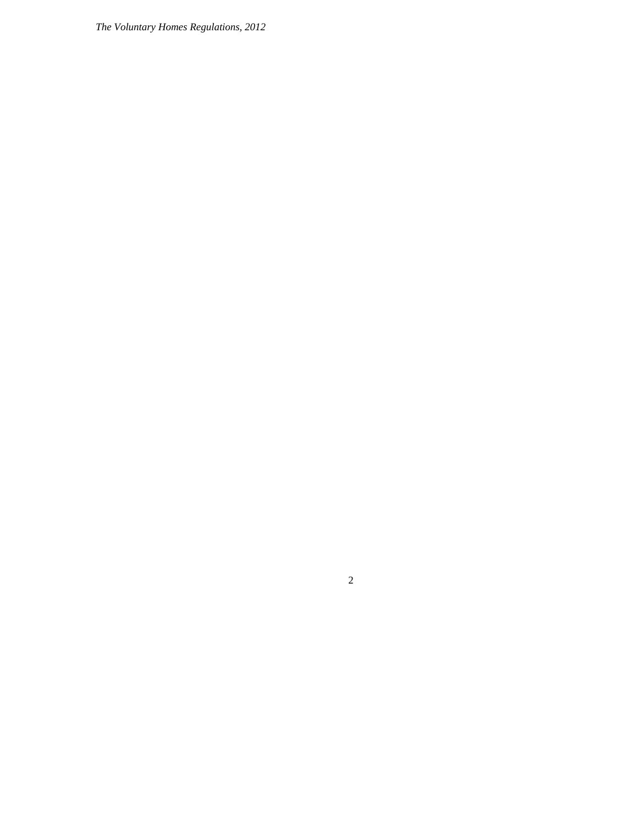*The Voluntary Homes Regulations, 2012*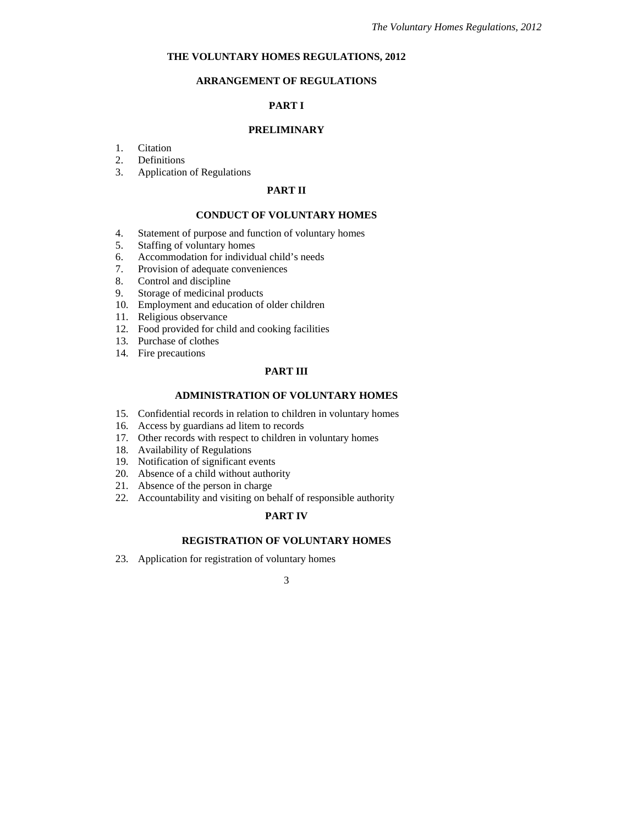## **THE VOLUNTARY HOMES REGULATIONS, 2012**

# **ARRANGEMENT OF REGULATIONS**

# **PART I**

### **PRELIMINARY**

- 1. Citation
- 2. Definitions
- 3. Application of Regulations

### **PART II**

#### **CONDUCT OF VOLUNTARY HOMES**

- 4. Statement of purpose and function of voluntary homes
- 5. Staffing of voluntary homes
- 6. Accommodation for individual child's needs
- 7. Provision of adequate conveniences
- 8. Control and discipline
- 9. Storage of medicinal products
- 10. Employment and education of older children
- 11. Religious observance
- 12. Food provided for child and cooking facilities
- 13. Purchase of clothes
- 14. Fire precautions

### **PART III**

#### **ADMINISTRATION OF VOLUNTARY HOMES**

- 15. Confidential records in relation to children in voluntary homes
- 16. Access by guardians ad litem to records
- 17. Other records with respect to children in voluntary homes
- 18. Availability of Regulations
- 19. Notification of significant events
- 20. Absence of a child without authority
- 21. Absence of the person in charge
- 22. Accountability and visiting on behalf of responsible authority

# **PART IV**

# **REGISTRATION OF VOLUNTARY HOMES**

23. Application for registration of voluntary homes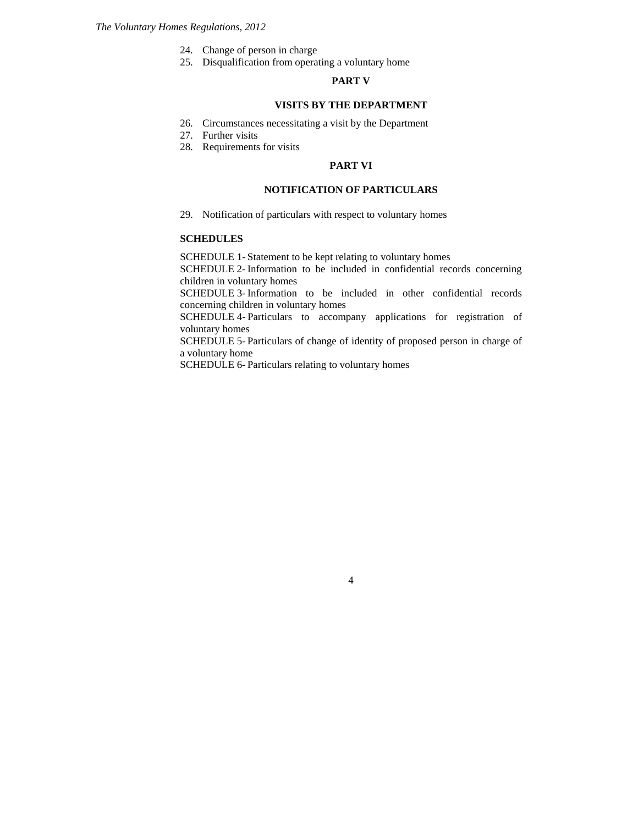- 24. Change of person in charge
- 25. Disqualification from operating a voluntary home

# **PART V**

#### **VISITS BY THE DEPARTMENT**

- 26. Circumstances necessitating a visit by the Department
- 27. Further visits
- 28. Requirements for visits

### **PART VI**

### **NOTIFICATION OF PARTICULARS**

29. Notification of particulars with respect to voluntary homes

### **SCHEDULES**

SCHEDULE 1- Statement to be kept relating to voluntary homes

SCHEDULE 2- Information to be included in confidential records concerning children in voluntary homes

SCHEDULE 3- Information to be included in other confidential records concerning children in voluntary homes

SCHEDULE 4- Particulars to accompany applications for registration of voluntary homes

SCHEDULE 5- Particulars of change of identity of proposed person in charge of a voluntary home

SCHEDULE 6- Particulars relating to voluntary homes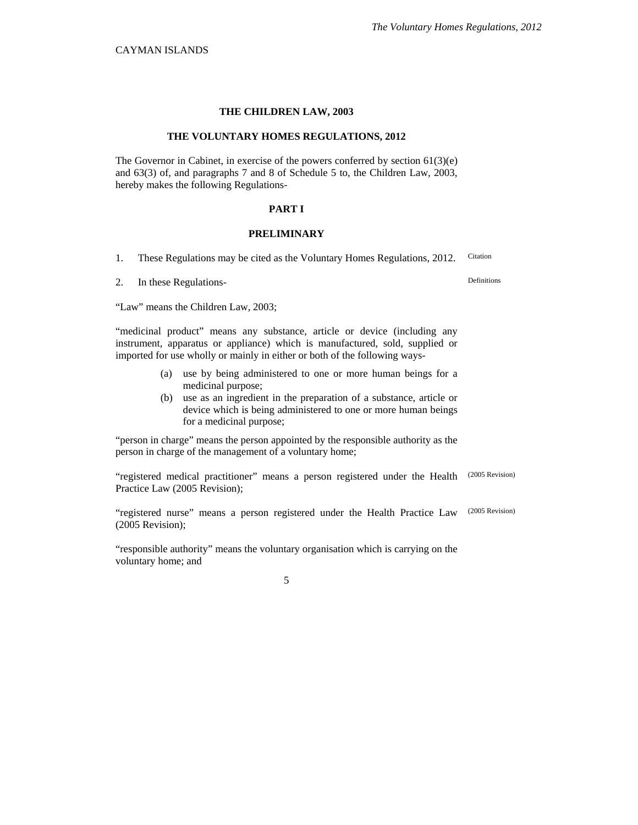#### **THE CHILDREN LAW, 2003**

#### **THE VOLUNTARY HOMES REGULATIONS, 2012**

The Governor in Cabinet, in exercise of the powers conferred by section  $61(3)(e)$ and 63(3) of, and paragraphs 7 and 8 of Schedule 5 to, the Children Law, 2003, hereby makes the following Regulations-

#### **PART I**

## **PRELIMINARY**

1. These Regulations may be cited as the Voluntary Homes Regulations, 2012. Citation

2. In these Regulations-<br>
Definitions

"Law" means the Children Law, 2003;

"medicinal product" means any substance, article or device (including any instrument, apparatus or appliance) which is manufactured, sold, supplied or imported for use wholly or mainly in either or both of the following ways-

- (a) use by being administered to one or more human beings for a medicinal purpose;
- (b) use as an ingredient in the preparation of a substance, article or device which is being administered to one or more human beings for a medicinal purpose;

"person in charge" means the person appointed by the responsible authority as the person in charge of the management of a voluntary home;

"registered medical practitioner" means a person registered under the Health Practice Law (2005 Revision); (2005 Revision)

"registered nurse" means a person registered under the Health Practice Law (2005 Revision); (2005 Revision)

"responsible authority" means the voluntary organisation which is carrying on the voluntary home; and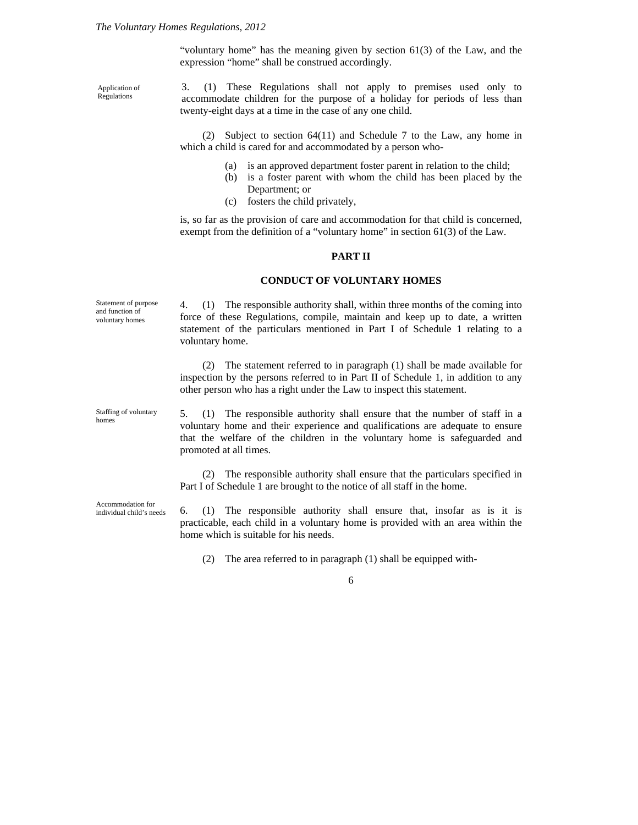"voluntary home" has the meaning given by section 61(3) of the Law, and the expression "home" shall be construed accordingly.

Application of Regulations

3. (1) These Regulations shall not apply to premises used only to accommodate children for the purpose of a holiday for periods of less than twenty-eight days at a time in the case of any one child.

(2) Subject to section 64(11) and Schedule 7 to the Law, any home in which a child is cared for and accommodated by a person who-

- (a) is an approved department foster parent in relation to the child;
- (b) is a foster parent with whom the child has been placed by the Department; or
- (c) fosters the child privately,

is, so far as the provision of care and accommodation for that child is concerned, exempt from the definition of a "voluntary home" in section 61(3) of the Law.

#### **PART II**

### **CONDUCT OF VOLUNTARY HOMES**

Statement of purpose and function of voluntary homes

Staffing of voluntary

homes

4. (1) The responsible authority shall, within three months of the coming into force of these Regulations, compile, maintain and keep up to date, a written statement of the particulars mentioned in Part I of Schedule 1 relating to a voluntary home.

(2) The statement referred to in paragraph (1) shall be made available for inspection by the persons referred to in Part II of Schedule 1, in addition to any other person who has a right under the Law to inspect this statement.

5. (1) The responsible authority shall ensure that the number of staff in a voluntary home and their experience and qualifications are adequate to ensure that the welfare of the children in the voluntary home is safeguarded and promoted at all times.

(2) The responsible authority shall ensure that the particulars specified in Part I of Schedule 1 are brought to the notice of all staff in the home.

 $6.$  (1) The responsible authority shall ensure that, insofar as is it is practicable, each child in a voluntary home is provided with an area within the home which is suitable for his needs.

(2) The area referred to in paragraph (1) shall be equipped with-

6

Accommodation for<br>individual child's needs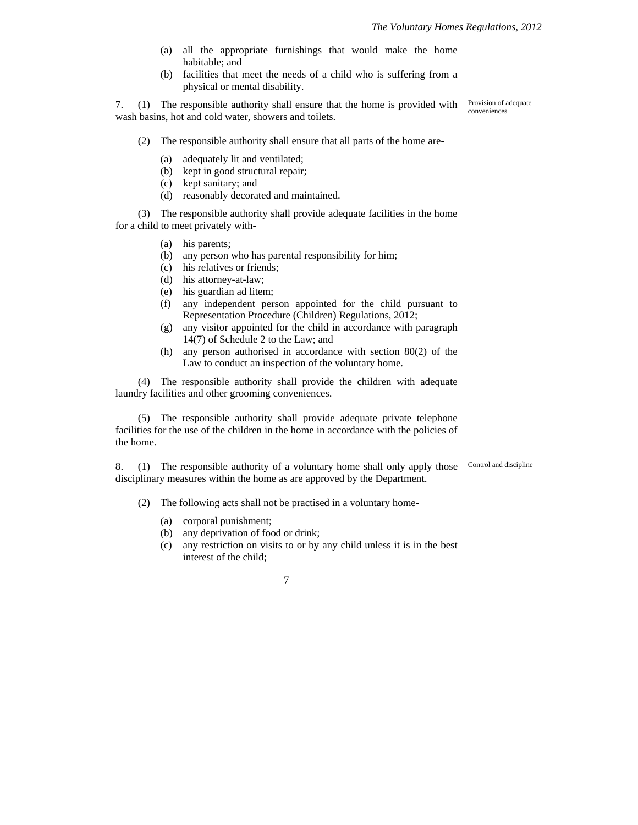conveniences

- (a) all the appropriate furnishings that would make the home habitable; and
- (b) facilities that meet the needs of a child who is suffering from a physical or mental disability.

7. (1) The responsible authority shall ensure that the home is provided with Provision of adequate wash basins, hot and cold water, showers and toilets.

- (2) The responsible authority shall ensure that all parts of the home are-
	- (a) adequately lit and ventilated;
	- (b) kept in good structural repair;
	- (c) kept sanitary; and
	- (d) reasonably decorated and maintained.

(3) The responsible authority shall provide adequate facilities in the home for a child to meet privately with-

- (a) his parents;
- (b) any person who has parental responsibility for him;
- (c) his relatives or friends;
- (d) his attorney-at-law;
- (e) his guardian ad litem;
- (f) any independent person appointed for the child pursuant to Representation Procedure (Children) Regulations, 2012;
- (g) any visitor appointed for the child in accordance with paragraph 14(7) of Schedule 2 to the Law; and
- (h) any person authorised in accordance with section 80(2) of the Law to conduct an inspection of the voluntary home.

(4) The responsible authority shall provide the children with adequate laundry facilities and other grooming conveniences.

(5) The responsible authority shall provide adequate private telephone facilities for the use of the children in the home in accordance with the policies of the home.

8. (1) The responsible authority of a voluntary home shall only apply those disciplinary measures within the home as are approved by the Department.

Control and discipline

- (2) The following acts shall not be practised in a voluntary home-
	- (a) corporal punishment;
	- (b) any deprivation of food or drink;
	- (c) any restriction on visits to or by any child unless it is in the best interest of the child;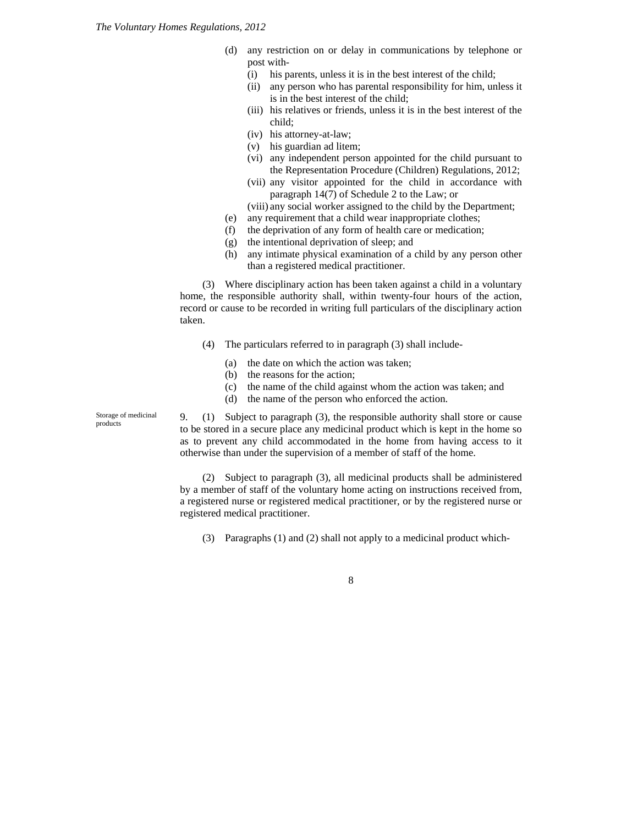- (d) any restriction on or delay in communications by telephone or post with-
	- (i) his parents, unless it is in the best interest of the child;
	- (ii) any person who has parental responsibility for him, unless it is in the best interest of the child;
	- (iii) his relatives or friends, unless it is in the best interest of the child;
	- (iv) his attorney-at-law;
	- (v) his guardian ad litem;
	- (vi) any independent person appointed for the child pursuant to the Representation Procedure (Children) Regulations, 2012;
	- (vii) any visitor appointed for the child in accordance with paragraph 14(7) of Schedule 2 to the Law; or
	- (viii) any social worker assigned to the child by the Department;
- (e) any requirement that a child wear inappropriate clothes;
- (f) the deprivation of any form of health care or medication;
- (g) the intentional deprivation of sleep; and
- (h) any intimate physical examination of a child by any person other than a registered medical practitioner.

(3) Where disciplinary action has been taken against a child in a voluntary home, the responsible authority shall, within twenty-four hours of the action, record or cause to be recorded in writing full particulars of the disciplinary action taken.

- (4) The particulars referred to in paragraph (3) shall include-
	- (a) the date on which the action was taken;
	- (b) the reasons for the action;
	- (c) the name of the child against whom the action was taken; and
	- (d) the name of the person who enforced the action.

Storage of medicinal products

9. (1) Subject to paragraph (3), the responsible authority shall store or cause to be stored in a secure place any medicinal product which is kept in the home so as to prevent any child accommodated in the home from having access to it otherwise than under the supervision of a member of staff of the home.

(2) Subject to paragraph (3), all medicinal products shall be administered by a member of staff of the voluntary home acting on instructions received from, a registered nurse or registered medical practitioner, or by the registered nurse or registered medical practitioner.

(3) Paragraphs (1) and (2) shall not apply to a medicinal product which-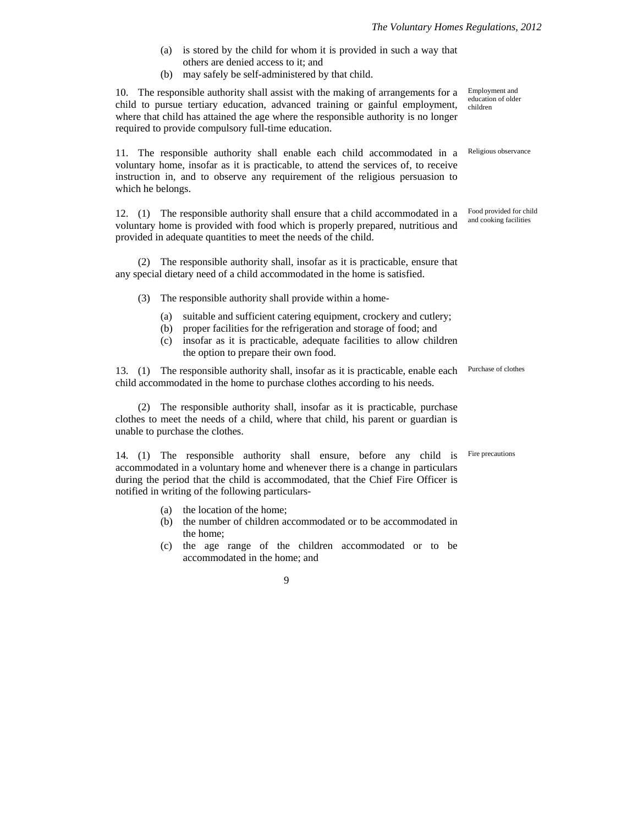- (a) is stored by the child for whom it is provided in such a way that others are denied access to it; and
- (b) may safely be self-administered by that child.

10. The responsible authority shall assist with the making of arrangements for a child to pursue tertiary education, advanced training or gainful employment, where that child has attained the age where the responsible authority is no longer required to provide compulsory full-time education.

11. The responsible authority shall enable each child accommodated in a voluntary home, insofar as it is practicable, to attend the services of, to receive instruction in, and to observe any requirement of the religious persuasion to which he belongs.

12. (1) The responsible authority shall ensure that a child accommodated in a voluntary home is provided with food which is properly prepared, nutritious and provided in adequate quantities to meet the needs of the child.

(2) The responsible authority shall, insofar as it is practicable, ensure that any special dietary need of a child accommodated in the home is satisfied.

(3) The responsible authority shall provide within a home-

- (a) suitable and sufficient catering equipment, crockery and cutlery;
- (b) proper facilities for the refrigeration and storage of food; and
- (c) insofar as it is practicable, adequate facilities to allow children the option to prepare their own food.

13. (1) The responsible authority shall, insofar as it is practicable, enable each child accommodated in the home to purchase clothes according to his needs.

(2) The responsible authority shall, insofar as it is practicable, purchase clothes to meet the needs of a child, where that child, his parent or guardian is unable to purchase the clothes.

14. (1) The responsible authority shall ensure, before any child is accommodated in a voluntary home and whenever there is a change in particulars during the period that the child is accommodated, that the Chief Fire Officer is notified in writing of the following particulars-

- (a) the location of the home;
- (b) the number of children accommodated or to be accommodated in the home;
- (c) the age range of the children accommodated or to be accommodated in the home; and

9

Employment and education of older children

Religious observance

Food provided for child and cooking facilities

Purchase of clothes

Fire precautions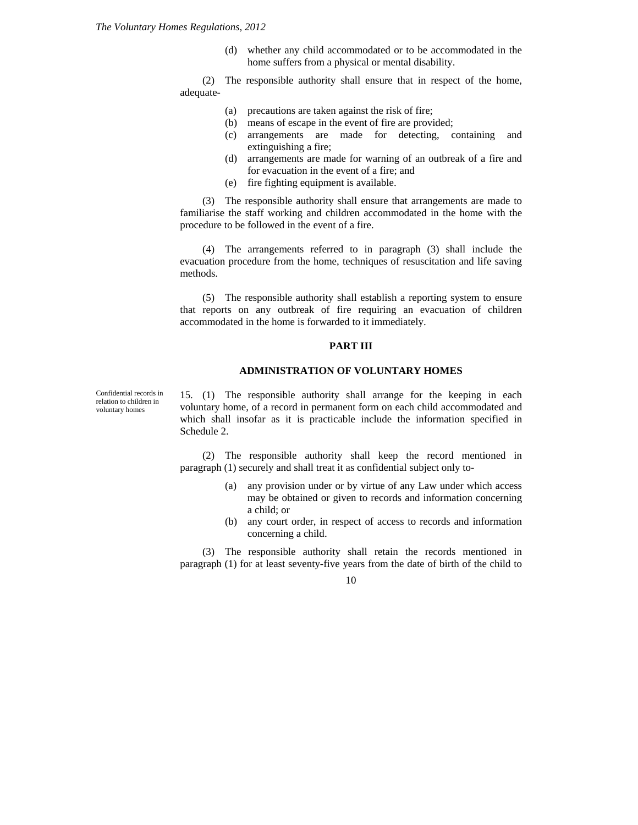(d) whether any child accommodated or to be accommodated in the home suffers from a physical or mental disability.

(2) The responsible authority shall ensure that in respect of the home, adequate-

- (a) precautions are taken against the risk of fire;
- (b) means of escape in the event of fire are provided;
- (c) arrangements are made for detecting, containing and extinguishing a fire;
- (d) arrangements are made for warning of an outbreak of a fire and for evacuation in the event of a fire; and
- (e) fire fighting equipment is available.

(3) The responsible authority shall ensure that arrangements are made to familiarise the staff working and children accommodated in the home with the procedure to be followed in the event of a fire.

(4) The arrangements referred to in paragraph (3) shall include the evacuation procedure from the home, techniques of resuscitation and life saving methods.

(5) The responsible authority shall establish a reporting system to ensure that reports on any outbreak of fire requiring an evacuation of children accommodated in the home is forwarded to it immediately.

#### **PART III**

#### **ADMINISTRATION OF VOLUNTARY HOMES**

Confidential records in relation to children in voluntary homes

15. (1) The responsible authority shall arrange for the keeping in each voluntary home, of a record in permanent form on each child accommodated and which shall insofar as it is practicable include the information specified in Schedule 2.

(2) The responsible authority shall keep the record mentioned in paragraph (1) securely and shall treat it as confidential subject only to-

- (a) any provision under or by virtue of any Law under which access may be obtained or given to records and information concerning a child; or
- (b) any court order, in respect of access to records and information concerning a child.

(3) The responsible authority shall retain the records mentioned in paragraph (1) for at least seventy-five years from the date of birth of the child to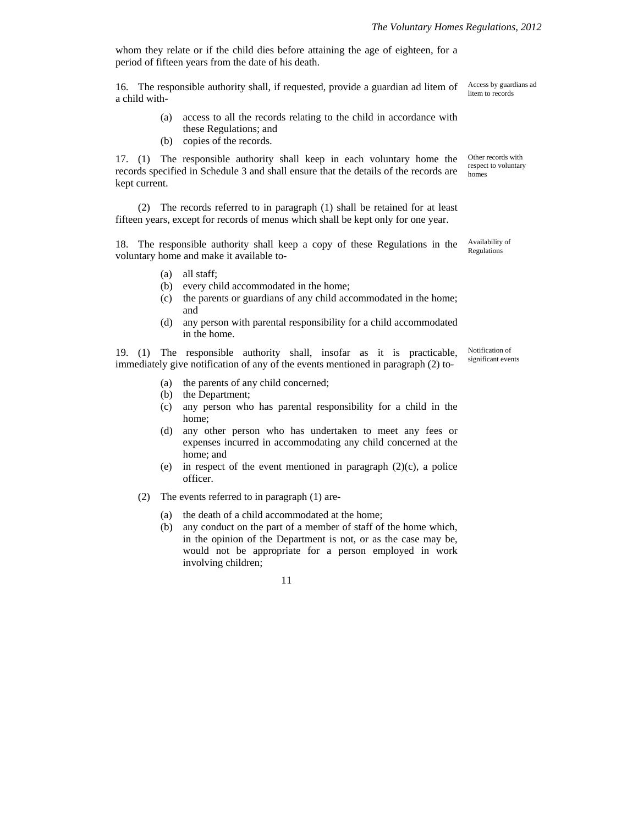whom they relate or if the child dies before attaining the age of eighteen, for a period of fifteen years from the date of his death.

16. The responsible authority shall, if requested, provide a guardian ad litem of a child with-

- (a) access to all the records relating to the child in accordance with these Regulations; and
- (b) copies of the records.

17. (1) The responsible authority shall keep in each voluntary home the records specified in Schedule 3 and shall ensure that the details of the records are kept current.

(2) The records referred to in paragraph (1) shall be retained for at least fifteen years, except for records of menus which shall be kept only for one year.

18. The responsible authority shall keep a copy of these Regulations in the voluntary home and make it available to-

- (a) all staff;
- (b) every child accommodated in the home;
- (c) the parents or guardians of any child accommodated in the home; and
- (d) any person with parental responsibility for a child accommodated in the home.

19. (1) The responsible authority shall, insofar as it is practicable, immediately give notification of any of the events mentioned in paragraph (2) to-

- (a) the parents of any child concerned;
- (b) the Department;
- (c) any person who has parental responsibility for a child in the home;
- (d) any other person who has undertaken to meet any fees or expenses incurred in accommodating any child concerned at the home; and
- (e) in respect of the event mentioned in paragraph  $(2)(c)$ , a police officer.
- (2) The events referred to in paragraph (1) are-
	- (a) the death of a child accommodated at the home;
	- (b) any conduct on the part of a member of staff of the home which, in the opinion of the Department is not, or as the case may be, would not be appropriate for a person employed in work involving children;

11

Access by guardians ad litem to records

Other records with respect to voluntary homes

Availability of Regulations

Notification of significant events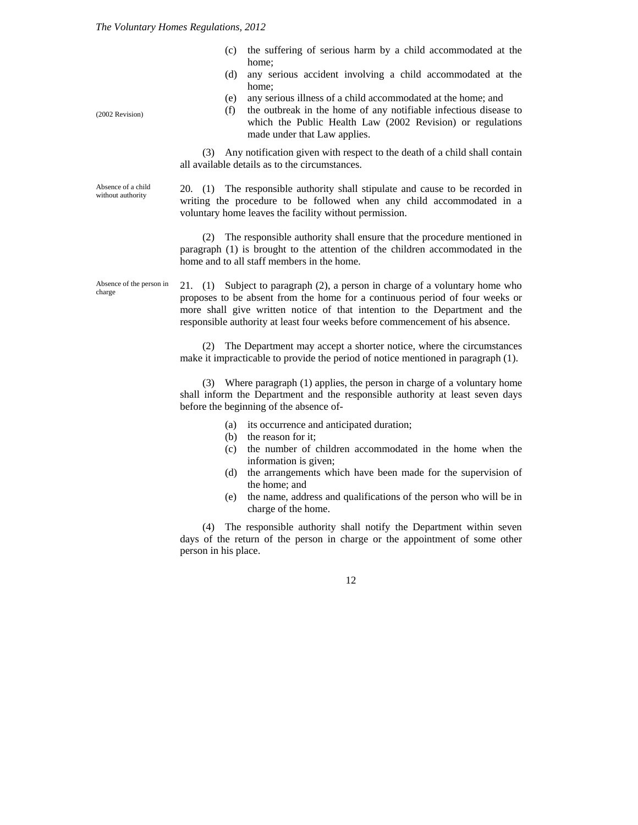- (c) the suffering of serious harm by a child accommodated at the home;
- (d) any serious accident involving a child accommodated at the home;
- (e) any serious illness of a child accommodated at the home; and
- (f) the outbreak in the home of any notifiable infectious disease to which the Public Health Law (2002 Revision) or regulations made under that Law applies.

(3) Any notification given with respect to the death of a child shall contain all available details as to the circumstances.

20. (1) The responsible authority shall stipulate and cause to be recorded in writing the procedure to be followed when any child accommodated in a voluntary home leaves the facility without permission.

(2) The responsible authority shall ensure that the procedure mentioned in paragraph (1) is brought to the attention of the children accommodated in the home and to all staff members in the home.

Absence of the person in charge

21. (1) Subject to paragraph (2), a person in charge of a voluntary home who proposes to be absent from the home for a continuous period of four weeks or more shall give written notice of that intention to the Department and the responsible authority at least four weeks before commencement of his absence.

(2) The Department may accept a shorter notice, where the circumstances make it impracticable to provide the period of notice mentioned in paragraph (1).

(3) Where paragraph (1) applies, the person in charge of a voluntary home shall inform the Department and the responsible authority at least seven days before the beginning of the absence of-

- (a) its occurrence and anticipated duration;
- (b) the reason for it;
- (c) the number of children accommodated in the home when the information is given;
- (d) the arrangements which have been made for the supervision of the home; and
- (e) the name, address and qualifications of the person who will be in charge of the home.

(4) The responsible authority shall notify the Department within seven days of the return of the person in charge or the appointment of some other person in his place.

12

(2002 Revision)

Absence of a child without authority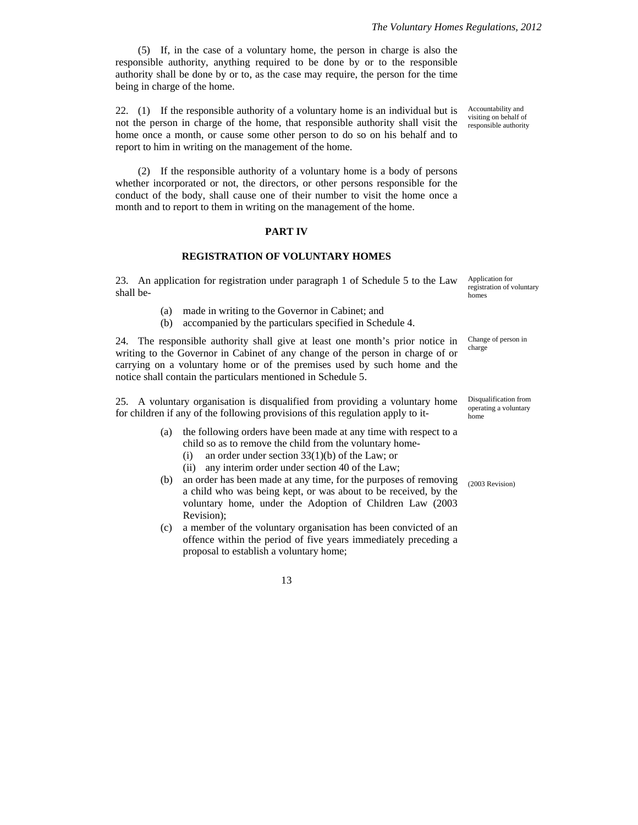(5) If, in the case of a voluntary home, the person in charge is also the responsible authority, anything required to be done by or to the responsible authority shall be done by or to, as the case may require, the person for the time being in charge of the home.

22. (1) If the responsible authority of a voluntary home is an individual but is not the person in charge of the home, that responsible authority shall visit the home once a month, or cause some other person to do so on his behalf and to report to him in writing on the management of the home.

(2) If the responsible authority of a voluntary home is a body of persons whether incorporated or not, the directors, or other persons responsible for the conduct of the body, shall cause one of their number to visit the home once a month and to report to them in writing on the management of the home.

### **PART IV**

#### **REGISTRATION OF VOLUNTARY HOMES**

23. An application for registration under paragraph 1 of Schedule 5 to the Law shall be-

- (a) made in writing to the Governor in Cabinet; and
- (b) accompanied by the particulars specified in Schedule 4.

24. The responsible authority shall give at least one month's prior notice in writing to the Governor in Cabinet of any change of the person in charge of or carrying on a voluntary home or of the premises used by such home and the notice shall contain the particulars mentioned in Schedule 5.

25. A voluntary organisation is disqualified from providing a voluntary home for children if any of the following provisions of this regulation apply to it-

- (a) the following orders have been made at any time with respect to a child so as to remove the child from the voluntary home-
	- (i) an order under section  $33(1)(b)$  of the Law; or
	- (ii) any interim order under section 40 of the Law;
- (b) an order has been made at any time, for the purposes of removing a child who was being kept, or was about to be received, by the voluntary home, under the Adoption of Children Law (2003 Revision);
- (c) a member of the voluntary organisation has been convicted of an offence within the period of five years immediately preceding a proposal to establish a voluntary home;

Application for registration of voluntary homes

Accountability and visiting on behalf of responsible authority

Change of person in charge

Disqualification from operating a voluntary home

(2003 Revision)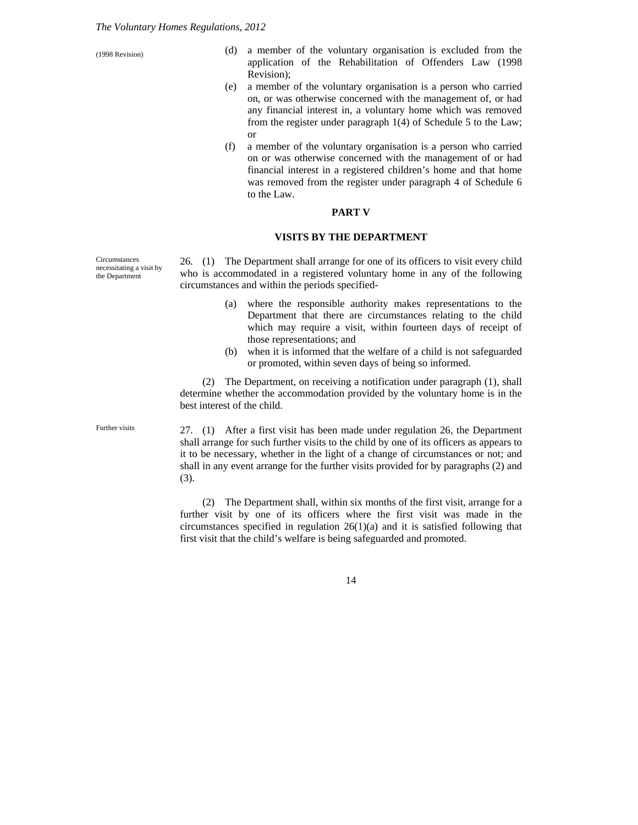(1998 Revision)

- (d) a member of the voluntary organisation is excluded from the application of the Rehabilitation of Offenders Law (1998 Revision);
- (e) a member of the voluntary organisation is a person who carried on, or was otherwise concerned with the management of, or had any financial interest in, a voluntary home which was removed from the register under paragraph 1(4) of Schedule 5 to the Law; or
- (f) a member of the voluntary organisation is a person who carried on or was otherwise concerned with the management of or had financial interest in a registered children's home and that home was removed from the register under paragraph 4 of Schedule 6 to the Law.

### **PART V**

#### **VISITS BY THE DEPARTMENT**

Circumstances necessitating a visit by the Department

26. (1) The Department shall arrange for one of its officers to visit every child who is accommodated in a registered voluntary home in any of the following circumstances and within the periods specified-

- (a) where the responsible authority makes representations to the Department that there are circumstances relating to the child which may require a visit, within fourteen days of receipt of those representations; and
- (b) when it is informed that the welfare of a child is not safeguarded or promoted, within seven days of being so informed.

(2) The Department, on receiving a notification under paragraph (1), shall determine whether the accommodation provided by the voluntary home is in the best interest of the child.

Further visits

27. (1) After a first visit has been made under regulation 26, the Department shall arrange for such further visits to the child by one of its officers as appears to it to be necessary, whether in the light of a change of circumstances or not; and shall in any event arrange for the further visits provided for by paragraphs (2) and (3).

(2) The Department shall, within six months of the first visit, arrange for a further visit by one of its officers where the first visit was made in the circumstances specified in regulation 26(1)(a) and it is satisfied following that first visit that the child's welfare is being safeguarded and promoted.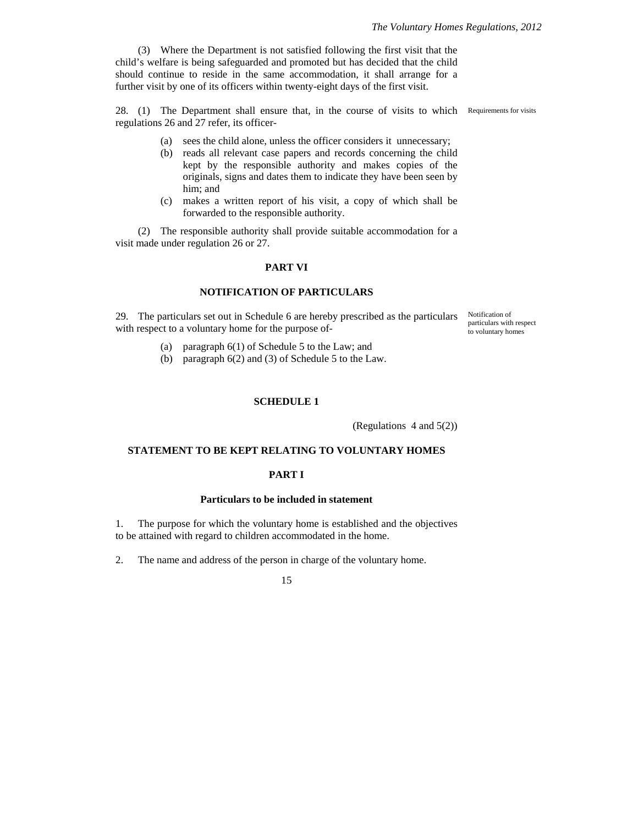(3) Where the Department is not satisfied following the first visit that the child's welfare is being safeguarded and promoted but has decided that the child should continue to reside in the same accommodation, it shall arrange for a further visit by one of its officers within twenty-eight days of the first visit.

28. (1) The Department shall ensure that, in the course of visits to which Requirements for visits regulations 26 and 27 refer, its officer-

- (a) sees the child alone, unless the officer considers it unnecessary;
- (b) reads all relevant case papers and records concerning the child kept by the responsible authority and makes copies of the originals, signs and dates them to indicate they have been seen by him; and
- (c) makes a written report of his visit, a copy of which shall be forwarded to the responsible authority.

(2) The responsible authority shall provide suitable accommodation for a visit made under regulation 26 or 27.

#### **PART VI**

# **NOTIFICATION OF PARTICULARS**

29. The particulars set out in Schedule 6 are hereby prescribed as the particulars with respect to a voluntary home for the purpose of-

Notification of particulars with respect to voluntary homes

- (a) paragraph 6(1) of Schedule 5 to the Law; and
- (b) paragraph 6(2) and (3) of Schedule 5 to the Law.

#### **SCHEDULE 1**

(Regulations  $4$  and  $5(2)$ )

#### **STATEMENT TO BE KEPT RELATING TO VOLUNTARY HOMES**

#### **PART I**

#### **Particulars to be included in statement**

1. The purpose for which the voluntary home is established and the objectives to be attained with regard to children accommodated in the home.

2. The name and address of the person in charge of the voluntary home.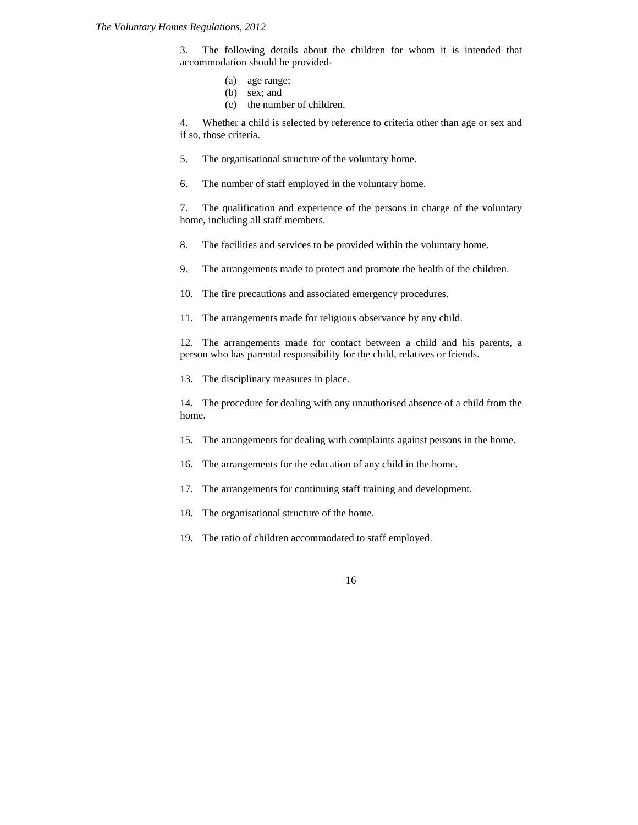#### *The Voluntary Homes Regulations, 2012*

3. The following details about the children for whom it is intended that accommodation should be provided-

- (a) age range;
- (b) sex; and
- (c) the number of children.

4. Whether a child is selected by reference to criteria other than age or sex and if so, those criteria.

- 5. The organisational structure of the voluntary home.
- 6. The number of staff employed in the voluntary home.

7. The qualification and experience of the persons in charge of the voluntary home, including all staff members.

- 8. The facilities and services to be provided within the voluntary home.
- 9. The arrangements made to protect and promote the health of the children.
- 10. The fire precautions and associated emergency procedures.
- 11. The arrangements made for religious observance by any child.

12. The arrangements made for contact between a child and his parents, a person who has parental responsibility for the child, relatives or friends.

13. The disciplinary measures in place.

14. The procedure for dealing with any unauthorised absence of a child from the home.

15. The arrangements for dealing with complaints against persons in the home.

- 16. The arrangements for the education of any child in the home.
- 17. The arrangements for continuing staff training and development.
- 18. The organisational structure of the home.
- 19. The ratio of children accommodated to staff employed.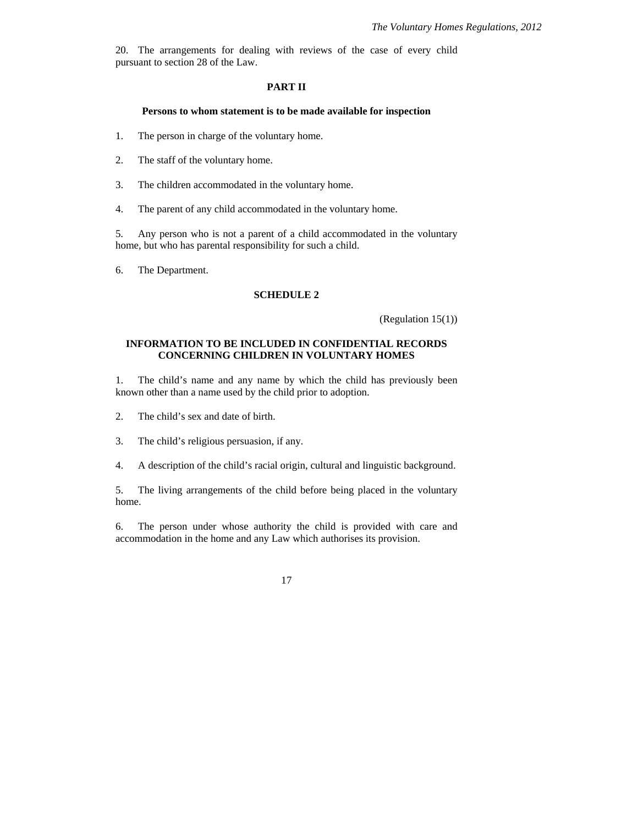20. The arrangements for dealing with reviews of the case of every child pursuant to section 28 of the Law.

# **PART II**

#### **Persons to whom statement is to be made available for inspection**

- 1. The person in charge of the voluntary home.
- 2. The staff of the voluntary home.
- 3. The children accommodated in the voluntary home.
- 4. The parent of any child accommodated in the voluntary home.

5. Any person who is not a parent of a child accommodated in the voluntary home, but who has parental responsibility for such a child.

6. The Department.

#### **SCHEDULE 2**

(Regulation 15(1))

# **INFORMATION TO BE INCLUDED IN CONFIDENTIAL RECORDS CONCERNING CHILDREN IN VOLUNTARY HOMES**

1. The child's name and any name by which the child has previously been known other than a name used by the child prior to adoption.

- 2. The child's sex and date of birth.
- 3. The child's religious persuasion, if any.
- 4. A description of the child's racial origin, cultural and linguistic background.

5. The living arrangements of the child before being placed in the voluntary home.

6. The person under whose authority the child is provided with care and accommodation in the home and any Law which authorises its provision.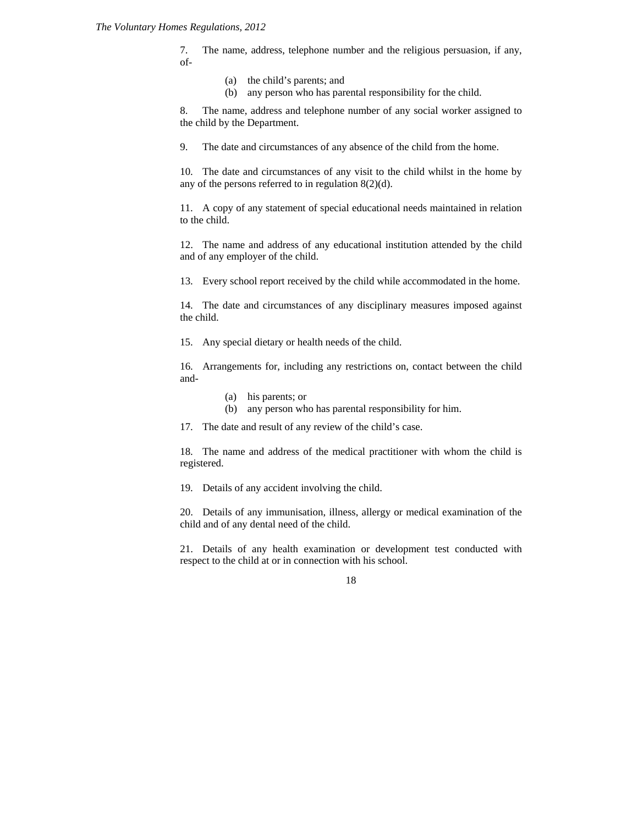7. The name, address, telephone number and the religious persuasion, if any, of-

- (a) the child's parents; and
- (b) any person who has parental responsibility for the child.

8. The name, address and telephone number of any social worker assigned to the child by the Department.

9. The date and circumstances of any absence of the child from the home.

10. The date and circumstances of any visit to the child whilst in the home by any of the persons referred to in regulation 8(2)(d).

11. A copy of any statement of special educational needs maintained in relation to the child.

12. The name and address of any educational institution attended by the child and of any employer of the child.

13. Every school report received by the child while accommodated in the home.

14. The date and circumstances of any disciplinary measures imposed against the child.

15. Any special dietary or health needs of the child.

16. Arrangements for, including any restrictions on, contact between the child and-

- (a) his parents; or
- (b) any person who has parental responsibility for him.

17. The date and result of any review of the child's case.

18. The name and address of the medical practitioner with whom the child is registered.

19. Details of any accident involving the child.

20. Details of any immunisation, illness, allergy or medical examination of the child and of any dental need of the child.

21. Details of any health examination or development test conducted with respect to the child at or in connection with his school.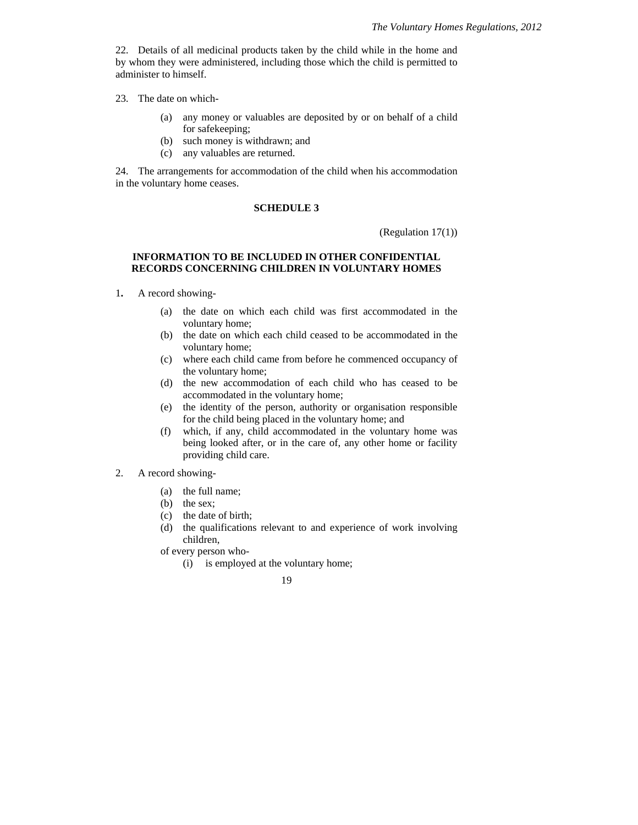22. Details of all medicinal products taken by the child while in the home and by whom they were administered, including those which the child is permitted to administer to himself.

23. The date on which-

- (a) any money or valuables are deposited by or on behalf of a child for safekeeping;
- (b) such money is withdrawn; and
- (c) any valuables are returned.

24. The arrangements for accommodation of the child when his accommodation in the voluntary home ceases.

# **SCHEDULE 3**

(Regulation 17(1))

## **INFORMATION TO BE INCLUDED IN OTHER CONFIDENTIAL RECORDS CONCERNING CHILDREN IN VOLUNTARY HOMES**

- 1**.** A record showing-
	- (a) the date on which each child was first accommodated in the voluntary home;
	- (b) the date on which each child ceased to be accommodated in the voluntary home;
	- (c) where each child came from before he commenced occupancy of the voluntary home;
	- (d) the new accommodation of each child who has ceased to be accommodated in the voluntary home;
	- (e) the identity of the person, authority or organisation responsible for the child being placed in the voluntary home; and
	- (f) which, if any, child accommodated in the voluntary home was being looked after, or in the care of, any other home or facility providing child care.
- 2. A record showing-
	- (a) the full name;
	- (b) the sex;
	- (c) the date of birth;
	- (d) the qualifications relevant to and experience of work involving children,
	- of every person who-
		- (i) is employed at the voluntary home;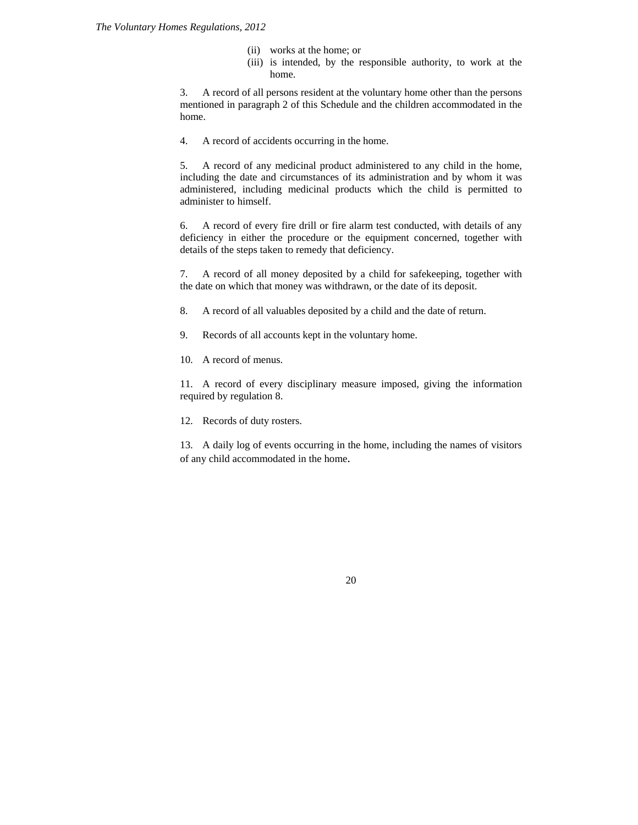- (ii) works at the home; or
- (iii) is intended, by the responsible authority, to work at the home.

3. A record of all persons resident at the voluntary home other than the persons mentioned in paragraph 2 of this Schedule and the children accommodated in the home.

4. A record of accidents occurring in the home.

5. A record of any medicinal product administered to any child in the home, including the date and circumstances of its administration and by whom it was administered, including medicinal products which the child is permitted to administer to himself.

6. A record of every fire drill or fire alarm test conducted, with details of any deficiency in either the procedure or the equipment concerned, together with details of the steps taken to remedy that deficiency.

7. A record of all money deposited by a child for safekeeping, together with the date on which that money was withdrawn, or the date of its deposit.

8. A record of all valuables deposited by a child and the date of return.

- 9. Records of all accounts kept in the voluntary home.
- 10. A record of menus.

11. A record of every disciplinary measure imposed, giving the information required by regulation 8.

12. Records of duty rosters.

13. A daily log of events occurring in the home, including the names of visitors of any child accommodated in the home.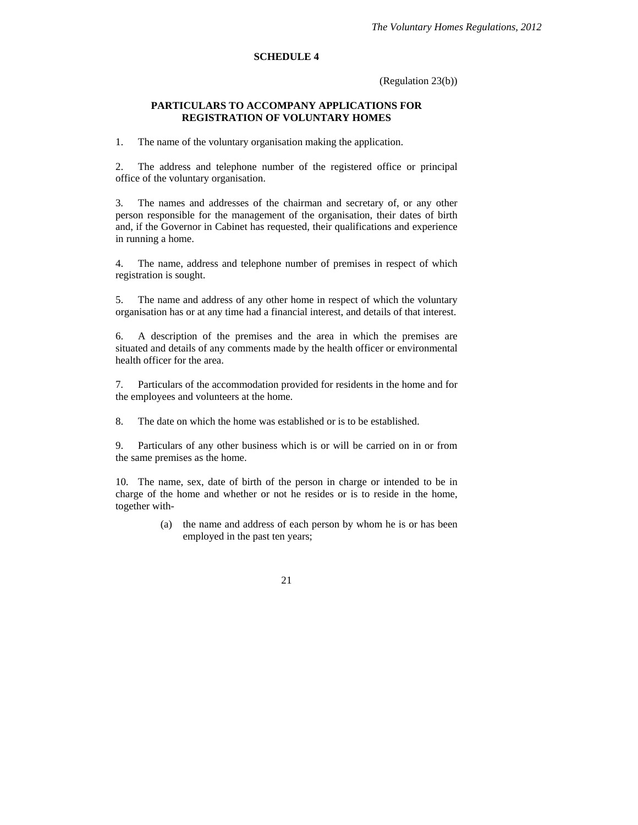#### **SCHEDULE 4**

(Regulation 23(b))

# **PARTICULARS TO ACCOMPANY APPLICATIONS FOR REGISTRATION OF VOLUNTARY HOMES**

1. The name of the voluntary organisation making the application.

2. The address and telephone number of the registered office or principal office of the voluntary organisation.

3. The names and addresses of the chairman and secretary of, or any other person responsible for the management of the organisation, their dates of birth and, if the Governor in Cabinet has requested, their qualifications and experience in running a home.

4. The name, address and telephone number of premises in respect of which registration is sought.

5. The name and address of any other home in respect of which the voluntary organisation has or at any time had a financial interest, and details of that interest.

6. A description of the premises and the area in which the premises are situated and details of any comments made by the health officer or environmental health officer for the area.

7. Particulars of the accommodation provided for residents in the home and for the employees and volunteers at the home.

8. The date on which the home was established or is to be established.

9. Particulars of any other business which is or will be carried on in or from the same premises as the home.

10. The name, sex, date of birth of the person in charge or intended to be in charge of the home and whether or not he resides or is to reside in the home, together with-

> (a) the name and address of each person by whom he is or has been employed in the past ten years;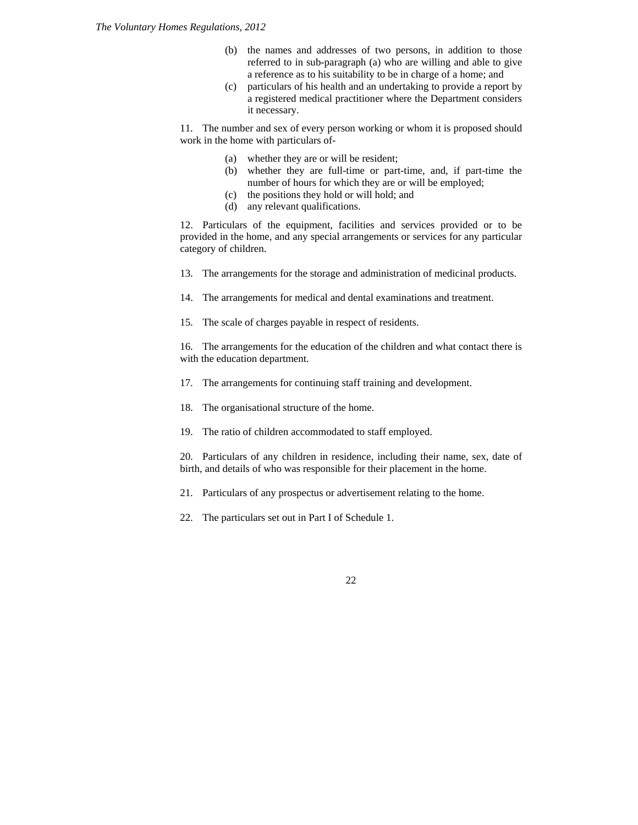- (b) the names and addresses of two persons, in addition to those referred to in sub-paragraph (a) who are willing and able to give a reference as to his suitability to be in charge of a home; and
- (c) particulars of his health and an undertaking to provide a report by a registered medical practitioner where the Department considers it necessary.

11. The number and sex of every person working or whom it is proposed should work in the home with particulars of-

- (a) whether they are or will be resident;
- (b) whether they are full-time or part-time, and, if part-time the number of hours for which they are or will be employed;
- (c) the positions they hold or will hold; and
- (d) any relevant qualifications.

12. Particulars of the equipment, facilities and services provided or to be provided in the home, and any special arrangements or services for any particular category of children.

- 13. The arrangements for the storage and administration of medicinal products.
- 14. The arrangements for medical and dental examinations and treatment.
- 15. The scale of charges payable in respect of residents.

16. The arrangements for the education of the children and what contact there is with the education department.

- 17. The arrangements for continuing staff training and development.
- 18. The organisational structure of the home.
- 19. The ratio of children accommodated to staff employed.

20. Particulars of any children in residence, including their name, sex, date of birth, and details of who was responsible for their placement in the home.

- 21. Particulars of any prospectus or advertisement relating to the home.
- 22. The particulars set out in Part I of Schedule 1.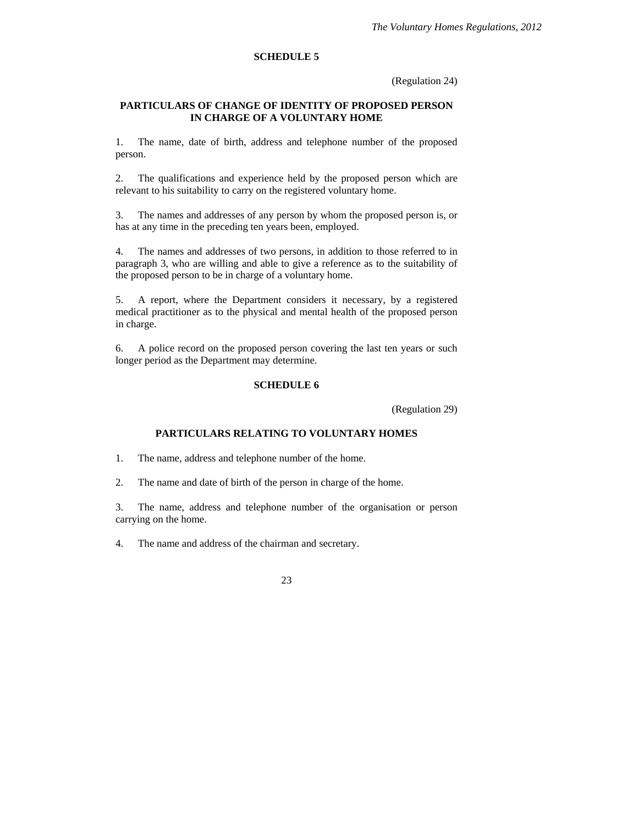#### **SCHEDULE 5**

(Regulation 24)

# **PARTICULARS OF CHANGE OF IDENTITY OF PROPOSED PERSON IN CHARGE OF A VOLUNTARY HOME**

1. The name, date of birth, address and telephone number of the proposed person.

2. The qualifications and experience held by the proposed person which are relevant to his suitability to carry on the registered voluntary home.

3. The names and addresses of any person by whom the proposed person is, or has at any time in the preceding ten years been, employed.

4. The names and addresses of two persons, in addition to those referred to in paragraph 3, who are willing and able to give a reference as to the suitability of the proposed person to be in charge of a voluntary home.

5. A report, where the Department considers it necessary, by a registered medical practitioner as to the physical and mental health of the proposed person in charge.

6. A police record on the proposed person covering the last ten years or such longer period as the Department may determine.

# **SCHEDULE 6**

(Regulation 29)

#### **PARTICULARS RELATING TO VOLUNTARY HOMES**

- 1. The name, address and telephone number of the home.
- 2. The name and date of birth of the person in charge of the home.

3. The name, address and telephone number of the organisation or person carrying on the home.

4. The name and address of the chairman and secretary.